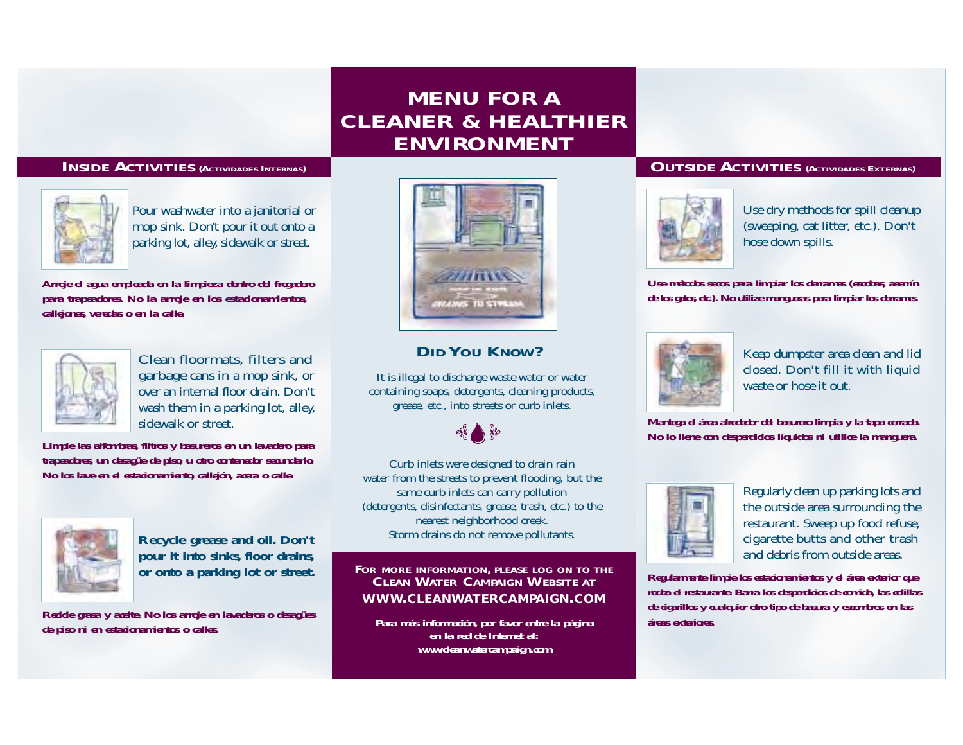## *MENU FOR A CLEANER & HEALTHIER ENVIRONMENT*

## *INSIDE ACTIVITIES (ACTIVIDADES INTERNAS)*



**Pour washwater into a janitorial or mop sink. Don't pour it out onto a parking lot, alley, sidewalk or street.**

*Arroje el agua empleada en la limpieza dentro del fregadero para trapeadores. No la arroje en los estacionamientos, callejones, veredas o en la calle.*



**Clean floormats, filters and garbage cans in a mop sink, or over an internal floor drain. Don't wash them in a parking lot, alley, sidewalk or street.**

*Limpie las alfombras, filtros y basureros en un lavadero para trapeadores, un desagüe de piso, u otro contenedor secundario. No los lave en el estacionamiento, callejón, acera o calle.*



**Recycle grease and oil. Don't pour it into sinks, floor drains,**

*Recicle grasa y aceite. No los arroje en lavaderos o desagües de piso ni en estacionamientos o calles.*



## *DID YOU KNOW?*

**It is illegal to discharge waste water or water containing soaps, detergents, cleaning products, grease, etc., into streets or curb inlets.**



**Curb inlets were designed to drain rain water from the streets to prevent flooding, but the same curb inlets can carry pollution (detergents, disinfectants, grease, trash, etc.) to the nearest neighborhood creek. Storm drains do not remove pollutants.**

or onto a parking lot or street. FOR MORE INFORMATION, PLEASE LOG ON TO THE CLEAN WATER CAMPAIGN WEBSITE AT **WWW.CLEANWATERCAMPAIGN.COM**

> *Para más información, por favor entre la página en la red de Internet al:www.cleanwatercampaign.com*

## *OUTSIDE ACTIVITIES (ACTIVIDADES EXTERNAS)*



**Use dry methods for spill cleanup (sweeping, cat litter, etc.). Don't hose down spills.**

*Use métodos secos para limpiar los derrames (escobas, aserrín de los gatos, etc.). No utilize mangueras para limpiar los derrames.*



**Keep dumpster area clean and lid closed. Don't fill it with liquid waste or hose it out.**

*Mantega el área alrededor del basurero limpia y la tapa cerrada. No lo llene con desperdicios líquidos ni utilice la manguera.*



**Regularly clean up parking lots and the outside area surrounding the restaurant. Sweep up food refuse, cigarette butts and other trash and debris from outside areas.**

*Regularmente limpie los estacionamientos y el área exterior que rodea el restaurante. Barra los desperdicios de comida, las colillas de cigarillos y cualquier otro tipo de basura y escombros en las áreas exteriores.*